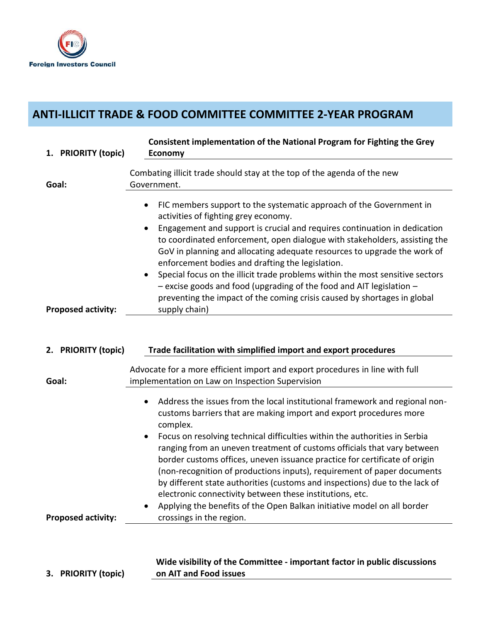

## **ANTI-ILLICIT TRADE & FOOD COMMITTEE COMMITTEE 2-YEAR PROGRAM**

| 1. PRIORITY (topic)       | Consistent implementation of the National Program for Fighting the Grey<br><b>Economy</b>                                                                                                                                                                                                                                                                                                                                                                                                                                                                                                                                                                                                                                                      |
|---------------------------|------------------------------------------------------------------------------------------------------------------------------------------------------------------------------------------------------------------------------------------------------------------------------------------------------------------------------------------------------------------------------------------------------------------------------------------------------------------------------------------------------------------------------------------------------------------------------------------------------------------------------------------------------------------------------------------------------------------------------------------------|
| Goal:                     | Combating illicit trade should stay at the top of the agenda of the new<br>Government.                                                                                                                                                                                                                                                                                                                                                                                                                                                                                                                                                                                                                                                         |
| <b>Proposed activity:</b> | FIC members support to the systematic approach of the Government in<br>activities of fighting grey economy.<br>Engagement and support is crucial and requires continuation in dedication<br>to coordinated enforcement, open dialogue with stakeholders, assisting the<br>GoV in planning and allocating adequate resources to upgrade the work of<br>enforcement bodies and drafting the legislation.<br>Special focus on the illicit trade problems within the most sensitive sectors<br>- excise goods and food (upgrading of the food and AIT legislation -<br>preventing the impact of the coming crisis caused by shortages in global<br>supply chain)                                                                                   |
| 2. PRIORITY (topic)       | Trade facilitation with simplified import and export procedures                                                                                                                                                                                                                                                                                                                                                                                                                                                                                                                                                                                                                                                                                |
| Goal:                     | Advocate for a more efficient import and export procedures in line with full<br>implementation on Law on Inspection Supervision                                                                                                                                                                                                                                                                                                                                                                                                                                                                                                                                                                                                                |
| <b>Proposed activity:</b> | Address the issues from the local institutional framework and regional non-<br>customs barriers that are making import and export procedures more<br>complex.<br>Focus on resolving technical difficulties within the authorities in Serbia<br>$\bullet$<br>ranging from an uneven treatment of customs officials that vary between<br>border customs offices, uneven issuance practice for certificate of origin<br>(non-recognition of productions inputs), requirement of paper documents<br>by different state authorities (customs and inspections) due to the lack of<br>electronic connectivity between these institutions, etc.<br>Applying the benefits of the Open Balkan initiative model on all border<br>crossings in the region. |
|                           |                                                                                                                                                                                                                                                                                                                                                                                                                                                                                                                                                                                                                                                                                                                                                |

**3. PRIORITY (topic)**

**Wide visibility of the Committee - important factor in public discussions on AIT and Food issues**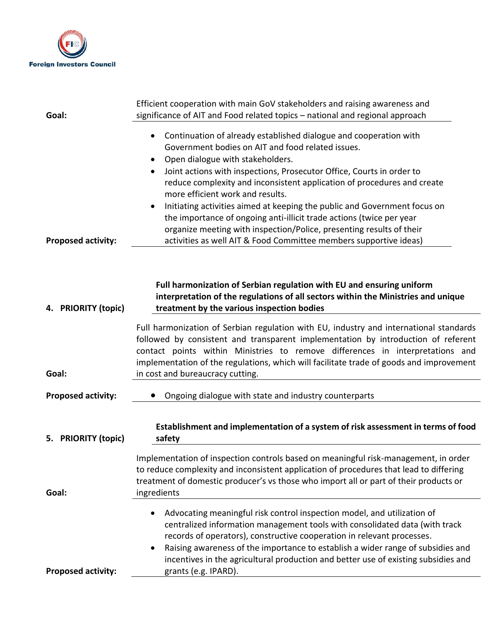

| Efficient cooperation with main GoV stakeholders and raising awareness and<br>significance of AIT and Food related topics - national and regional approach                                                                                                                                                                                                                                                                                                                                                                                                                                                                                                                                               |
|----------------------------------------------------------------------------------------------------------------------------------------------------------------------------------------------------------------------------------------------------------------------------------------------------------------------------------------------------------------------------------------------------------------------------------------------------------------------------------------------------------------------------------------------------------------------------------------------------------------------------------------------------------------------------------------------------------|
| Continuation of already established dialogue and cooperation with<br>$\bullet$<br>Government bodies on AIT and food related issues.<br>Open dialogue with stakeholders.<br>$\bullet$<br>Joint actions with inspections, Prosecutor Office, Courts in order to<br>$\bullet$<br>reduce complexity and inconsistent application of procedures and create<br>more efficient work and results.<br>Initiating activities aimed at keeping the public and Government focus on<br>$\bullet$<br>the importance of ongoing anti-illicit trade actions (twice per year<br>organize meeting with inspection/Police, presenting results of their<br>activities as well AIT & Food Committee members supportive ideas) |
| Full harmonization of Serbian regulation with EU and ensuring uniform<br>interpretation of the regulations of all sectors within the Ministries and unique<br>treatment by the various inspection bodies                                                                                                                                                                                                                                                                                                                                                                                                                                                                                                 |
| Full harmonization of Serbian regulation with EU, industry and international standards<br>followed by consistent and transparent implementation by introduction of referent<br>contact points within Ministries to remove differences in interpretations and<br>implementation of the regulations, which will facilitate trade of goods and improvement<br>in cost and bureaucracy cutting.                                                                                                                                                                                                                                                                                                              |
| Ongoing dialogue with state and industry counterparts                                                                                                                                                                                                                                                                                                                                                                                                                                                                                                                                                                                                                                                    |
| Establishment and implementation of a system of risk assessment in terms of food<br>safety                                                                                                                                                                                                                                                                                                                                                                                                                                                                                                                                                                                                               |
| Implementation of inspection controls based on meaningful risk-management, in order<br>to reduce complexity and inconsistent application of procedures that lead to differing<br>treatment of domestic producer's vs those who import all or part of their products or<br>ingredients                                                                                                                                                                                                                                                                                                                                                                                                                    |
| Advocating meaningful risk control inspection model, and utilization of<br>$\bullet$<br>centralized information management tools with consolidated data (with track<br>records of operators), constructive cooperation in relevant processes.<br>Raising awareness of the importance to establish a wider range of subsidies and<br>$\bullet$<br>incentives in the agricultural production and better use of existing subsidies and<br>grants (e.g. IPARD).                                                                                                                                                                                                                                              |
|                                                                                                                                                                                                                                                                                                                                                                                                                                                                                                                                                                                                                                                                                                          |